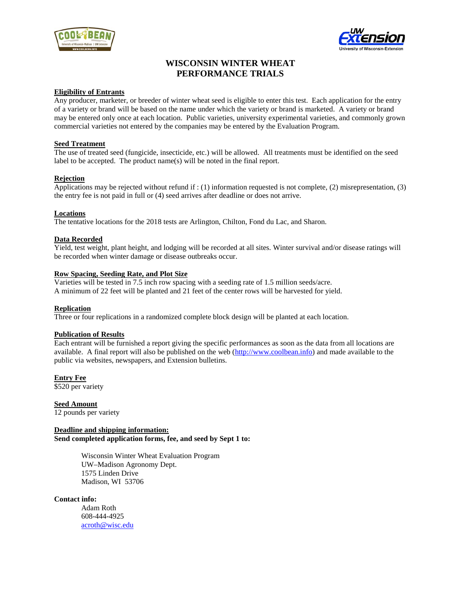



# **WISCONSIN WINTER WHEAT PERFORMANCE TRIALS**

#### **Eligibility of Entrants**

Any producer, marketer, or breeder of winter wheat seed is eligible to enter this test. Each application for the entry of a variety or brand will be based on the name under which the variety or brand is marketed. A variety or brand may be entered only once at each location. Public varieties, university experimental varieties, and commonly grown commercial varieties not entered by the companies may be entered by the Evaluation Program.

# **Seed Treatment**

The use of treated seed (fungicide, insecticide, etc.) will be allowed. All treatments must be identified on the seed label to be accepted. The product name(s) will be noted in the final report.

# **Rejection**

Applications may be rejected without refund if : (1) information requested is not complete, (2) misrepresentation, (3) the entry fee is not paid in full or (4) seed arrives after deadline or does not arrive.

# **Locations**

The tentative locations for the 2018 tests are Arlington, Chilton, Fond du Lac, and Sharon.

# **Data Recorded**

Yield, test weight, plant height, and lodging will be recorded at all sites. Winter survival and/or disease ratings will be recorded when winter damage or disease outbreaks occur.

# **Row Spacing, Seeding Rate, and Plot Size**

Varieties will be tested in 7.5 inch row spacing with a seeding rate of 1.5 million seeds/acre. A minimum of 22 feet will be planted and 21 feet of the center rows will be harvested for yield.

#### **Replication**

Three or four replications in a randomized complete block design will be planted at each location.

#### **Publication of Results**

Each entrant will be furnished a report giving the specific performances as soon as the data from all locations are available. A final report will also be published on the web [\(http://www.coolbean.info\)](http://www.coolbean.info/) and made available to the public via websites, newspapers, and Extension bulletins.

**Entry Fee** \$520 per variety

**Seed Amount** 12 pounds per variety

**Deadline and shipping information: Send completed application forms, fee, and seed by Sept 1 to:** 

> Wisconsin Winter Wheat Evaluation Program UW–Madison Agronomy Dept. 1575 Linden Drive Madison, WI 53706

#### **Contact info:**

Adam Roth 608-444-4925 [acroth@wisc.edu](mailto:acroth@wisc.edu)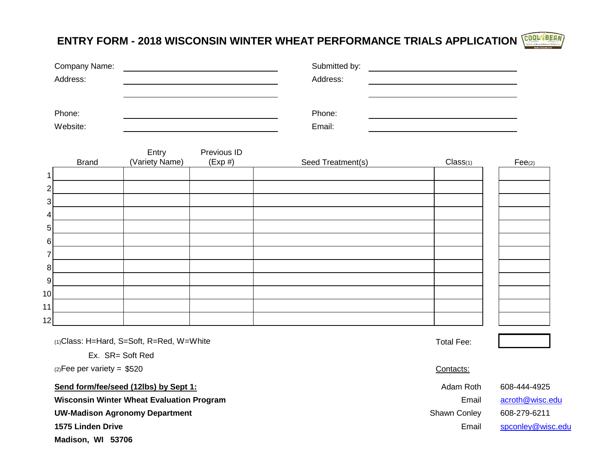**ENTRY FORM - 2018 WISCONSIN WINTER WHEAT PERFORMANCE TRIALS APPLICATION**

| Company Name: | Submitted by: |  |
|---------------|---------------|--|
| Address:      | Address:      |  |
|               |               |  |
|               |               |  |
| Phone:        | Phone:        |  |
| Website:      | Email:        |  |

|                |              | Entry          | Previous ID |                   |          |                      |
|----------------|--------------|----------------|-------------|-------------------|----------|----------------------|
|                | <b>Brand</b> | (Variety Name) | (Exp#)      | Seed Treatment(s) | Class(1) | $\mathsf{Fee}_{(2)}$ |
| 1              |              |                |             |                   |          |                      |
| $\overline{2}$ |              |                |             |                   |          |                      |
| $\mathbf{3}$   |              |                |             |                   |          |                      |
| $\overline{4}$ |              |                |             |                   |          |                      |
| 5 <sub>l</sub> |              |                |             |                   |          |                      |
| $6 \mid$       |              |                |             |                   |          |                      |
| 7              |              |                |             |                   |          |                      |
| 8 <sup>1</sup> |              |                |             |                   |          |                      |
| 9              |              |                |             |                   |          |                      |
| 10             |              |                |             |                   |          |                      |
| 11             |              |                |             |                   |          |                      |
| 12             |              |                |             |                   |          |                      |

(1)Class: H=Hard, S=Soft, R=Red, W=White Total Fee: Total Fee:

Ex. SR= Soft Red

 $(2)$ Fee per variety = \$520 Contacts:

**Send form/fee/seed (12lbs) by Sept 1:** Adam Roth 608-444-4925

**Wisconsin Winter Wheat Evaluation Program Email [acroth@wisc.edu](mailto:acroth@wisc.edu) Email acroth@wisc.edu** 

UW-Madison Agronomy Department and Shawn Conley 608-279-6211

**Madison, WI 53706**



**1575 Linden Drive** Email [spconley@wisc.edu](mailto:spconley@wisc.edu)